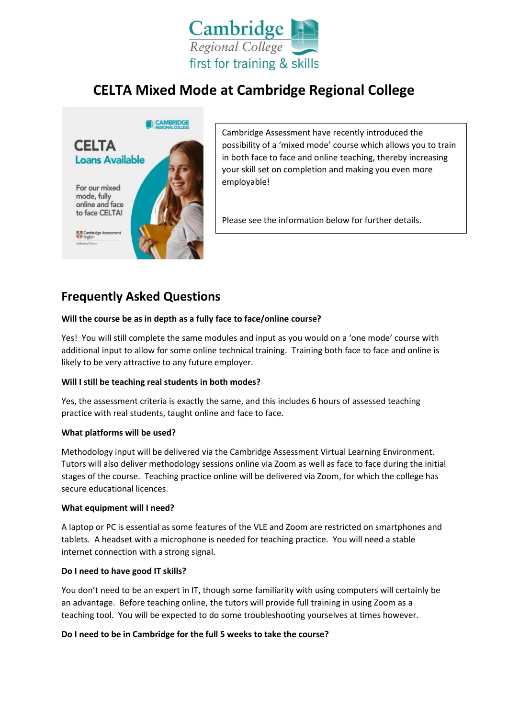

# **CELTA Mixed Mode at Cambridge Regional College**



Cambridge Assessment have recently introduced the possibility of a 'mixed mode' course which allows you to train in both face to face and online teaching, thereby increasing your skill set on completion and making you even more employable!

Please see the information below for further details.

# **Frequently Asked Questions**

## **Will the course be as in depth as a fully face to face/online course?**

Yes! You will still complete the same modules and input as you would on a 'one mode' course with additional input to allow for some online technical training. Training both face to face and online is likely to be very attractive to any future employer.

## **Will I still be teaching real students in both modes?**

Yes, the assessment criteria is exactly the same, and this includes 6 hours of assessed teaching practice with real students, taught online and face to face.

#### **What platforms will be used?**

Methodology input will be delivered via the Cambridge Assessment Virtual Learning Environment. Tutors will also deliver methodology sessions online via Zoom as well as face to face during the initial stages of the course. Teaching practice online will be delivered via Zoom, for which the college has secure educational licences.

#### **What equipment will I need?**

A laptop or PC is essential as some features of the VLE and Zoom are restricted on smartphones and tablets. A headset with a microphone is needed for teaching practice. You will need a stable internet connection with a strong signal.

#### **Do I need to have good IT skills?**

You don't need to be an expert in IT, though some familiarity with using computers will certainly be an advantage. Before teaching online, the tutors will provide full training in using Zoom as a teaching tool. You will be expected to do some troubleshooting yourselves at times however.

## **Do I need to be in Cambridge for the full 5 weeks to take the course?**